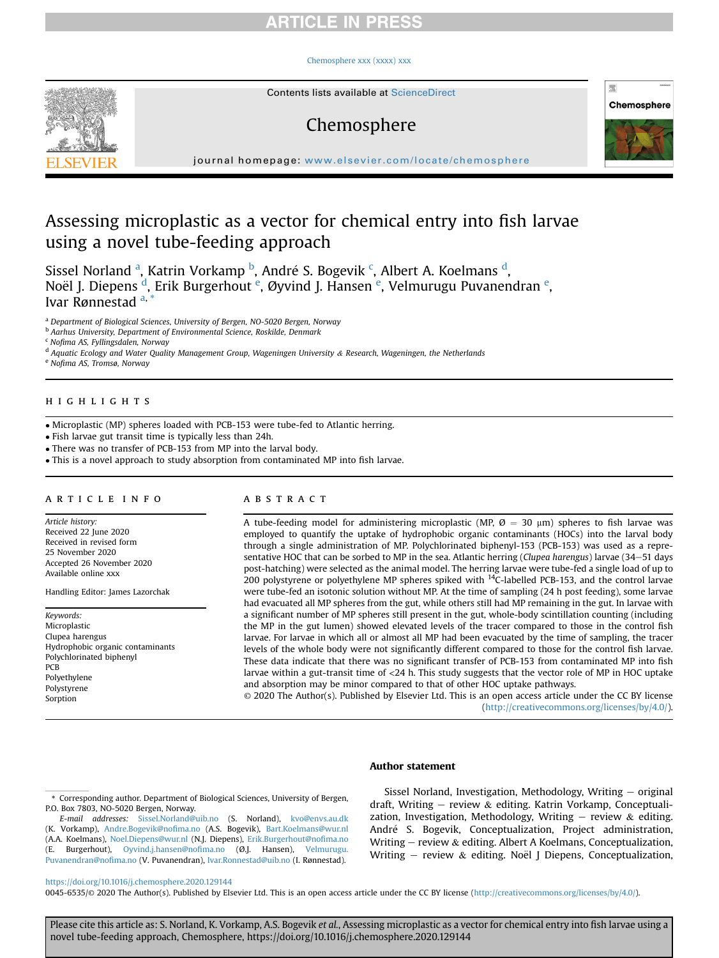## **RTICLE IN PRES**

#### [Chemosphere xxx \(xxxx\) xxx](https://doi.org/10.1016/j.chemosphere.2020.129144)



# Chemosphere



journal homepage: <www.elsevier.com/locate/chemosphere>

# Assessing microplastic as a vector for chemical entry into fish larvae using a novel tube-feeding approach

Sissel Norl[a](#page-0-0)nd <sup>a</sup>, Katrin Vorkamp <sup>[b](#page-0-1)</sup>, André S. Bogevik <sup>[c](#page-0-2)</sup>, Albert A. Koelmans <sup>[d](#page-0-3)</sup>, Noël J. Diepens <sup>[d](#page-0-3)</sup>, Erik Burg[e](#page-0-4)rhout <sup>e</sup>, Øyvind J. Hansen <sup>e</sup>, Velmurugu Puvanendran <sup>e</sup>, Iv[a](#page-0-0)r Rønnestad a, [\\*](#page-0-5)

<span id="page-0-0"></span><sup>a</sup> Department of Biological Sciences, University of Bergen, NO-5020 Bergen, Norway

<span id="page-0-1"></span>b Aarhus University, Department of Environmental Science, Roskilde, Denmark

<span id="page-0-2"></span><sup>c</sup> Nofima AS, Fyllingsdalen, Norway

<span id="page-0-3"></span> $d$  Aquatic Ecology and Water Quality Management Group, Wageningen University & Research, Wageningen, the Netherlands

<span id="page-0-4"></span><sup>e</sup> Nofima AS, Tromsø, Norway

#### highlights

- Microplastic (MP) spheres loaded with PCB-153 were tube-fed to Atlantic herring.
- Fish larvae gut transit time is typically less than 24h.
- There was no transfer of PCB-153 from MP into the larval body.
- This is a novel approach to study absorption from contaminated MP into fish larvae.

#### **ARTICLE INFO** article info

Article history: Received 22 June 2020 Received in revised form 25 November 2020 Accepted 26 November 2020 Available online xxx

Handling Editor: James Lazorchak

Keywords: Microplastic Clupea harengus Hydrophobic organic contaminants Polychlorinated biphenyl PCB Polyethylene Polystyrene Sorption

#### **ABSTRACT** abstract

A tube-feeding model for administering microplastic (MP,  $\varnothing = 30 \mu m$ ) spheres to fish larvae was employed to quantify the uptake of hydrophobic organic contaminants (HOCs) into the larval body through a single administration of MP. Polychlorinated biphenyl-153 (PCB-153) was used as a representative HOC that can be sorbed to MP in the sea. Atlantic herring (Clupea harengus) larvae (34-51 days post-hatching) were selected as the animal model. The herring larvae were tube-fed a single load of up to 200 polystyrene or polyethylene MP spheres spiked with <sup>14</sup>C-labelled PCB-153, and the control larvae were tube-fed an isotonic solution without MP. At the time of sampling (24 h post feeding), some larvae had evacuated all MP spheres from the gut, while others still had MP remaining in the gut. In larvae with a significant number of MP spheres still present in the gut, whole-body scintillation counting (including the MP in the gut lumen) showed elevated levels of the tracer compared to those in the control fish larvae. For larvae in which all or almost all MP had been evacuated by the time of sampling, the tracer levels of the whole body were not significantly different compared to those for the control fish larvae. These data indicate that there was no significant transfer of PCB-153 from contaminated MP into fish larvae within a gut-transit time of <24 h. This study suggests that the vector role of MP in HOC uptake and absorption may be minor compared to that of other HOC uptake pathways.

© 2020 The Author(s). Published by Elsevier Ltd. This is an open access article under the CC BY license [\(http://creativecommons.org/licenses/by/4.0/](http://creativecommons.org/licenses/by/4.0/)).

#### Author statement

<span id="page-0-5"></span>\* Corresponding author. Department of Biological Sciences, University of Bergen, P.O. Box 7803, NO-5020 Bergen, Norway.

E-mail addresses: [Sissel.Norland@uib.no](mailto:Sissel.Norland@uib.no) (S. Norland), [kvo@envs.au.dk](mailto:kvo@envs.au.dk) (K. Vorkamp), [Andre.Bogevik@no](mailto:Andre.Bogevik@nofima.no)fima.no (A.S. Bogevik), [Bart.Koelmans@wur.nl](mailto:Bart.Koelmans@wur.nl) (A.A. Koelmans), [Noel.Diepens@wur.nl](mailto:Noel.Diepens@wur.nl) (N.J. Diepens), [Erik.Burgerhout@no](mailto:Erik.Burgerhout@nofima.no)fima.no (E. Burgerhout), [Oyvind.j.hansen@no](mailto:Oyvind.j.hansen@nofima.no)fima.no (Ø.J. Hansen), [Velmurugu.](mailto:Velmurugu.Puvanendran@nofima.no) [Puvanendran@no](mailto:Velmurugu.Puvanendran@nofima.no)fima.no (V. Puvanendran), [Ivar.Ronnestad@uib.no](mailto:Ivar.Ronnestad@uib.no) (I. Rønnestad).

Sissel Norland, Investigation, Methodology, Writing  $-$  original draft, Writing  $-$  review & editing. Katrin Vorkamp, Conceptualization, Investigation, Methodology, Writing – review  $\&$  editing. André S. Bogevik, Conceptualization, Project administration, Writing  $-$  review & editing. Albert A Koelmans, Conceptualization, Writing  $-$  review & editing. Noël J Diepens, Conceptualization,

<https://doi.org/10.1016/j.chemosphere.2020.129144>

0045-6535/© 2020 The Author(s). Published by Elsevier Ltd. This is an open access article under the CC BY license ([http://creativecommons.org/licenses/by/4.0/\)](http://creativecommons.org/licenses/by/4.0/).

Please cite this article as: S. Norland, K. Vorkamp, A.S. Bogevik et al., Assessing microplastic as a vector for chemical entry into fish larvae using a novel tube-feeding approach, Chemosphere, https://doi.org/10.1016/j.chemosphere.2020.129144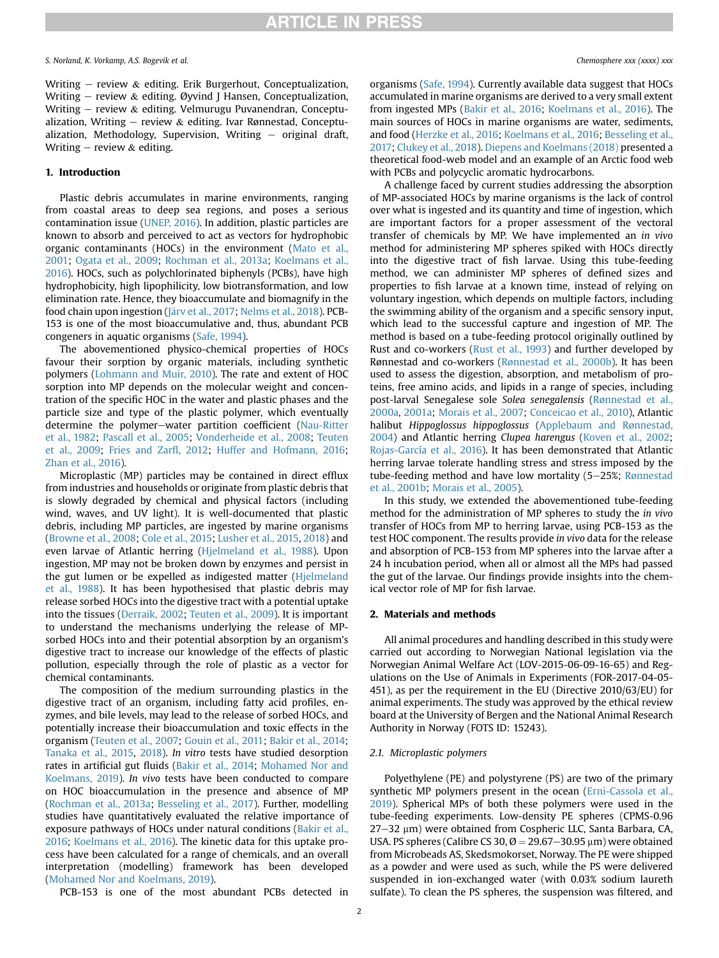Writing  $-$  review & editing. Erik Burgerhout, Conceptualization, Writing  $-$  review & editing. Øyvind J Hansen, Conceptualization, Writing  $-$  review & editing. Velmurugu Puvanendran, Conceptualization, Writing - review & editing. Ivar Rønnestad, Conceptualization, Methodology, Supervision, Writing  $-$  original draft, Writing – review  $&$  editing.

#### 1. Introduction

Plastic debris accumulates in marine environments, ranging from coastal areas to deep sea regions, and poses a serious contamination issue [\(UNEP, 2016](#page-8-0)). In addition, plastic particles are known to absorb and perceived to act as vectors for hydrophobic organic contaminants (HOCs) in the environment [\(Mato et al.,](#page-7-0) [2001;](#page-7-0) [Ogata et al., 2009;](#page-7-1) [Rochman et al., 2013a;](#page-7-2) [Koelmans et al.,](#page-7-3) [2016\)](#page-7-3). HOCs, such as polychlorinated biphenyls (PCBs), have high hydrophobicity, high lipophilicity, low biotransformation, and low elimination rate. Hence, they bioaccumulate and biomagnify in the food chain upon ingestion (Järv et al., 2017; [Nelms et al., 2018](#page-7-5)). PCB-153 is one of the most bioaccumulative and, thus, abundant PCB congeners in aquatic organisms ([Safe, 1994\)](#page-8-1).

The abovementioned physico-chemical properties of HOCs favour their sorption by organic materials, including synthetic polymers ([Lohmann and Muir, 2010](#page-7-6)). The rate and extent of HOC sorption into MP depends on the molecular weight and concentration of the specific HOC in the water and plastic phases and the particle size and type of the plastic polymer, which eventually determine the polymer-water partition coefficient [\(Nau-Ritter](#page-7-7) [et al., 1982](#page-7-7); [Pascall et al., 2005;](#page-7-8) [Vonderheide et al., 2008](#page-8-2); [Teuten](#page-8-3) [et al., 2009](#page-8-3); [Fries and Zar](#page-7-9)fl, 2012; [Huffer and Hofmann, 2016;](#page-7-10) [Zhan et al., 2016\)](#page-8-4).

Microplastic (MP) particles may be contained in direct efflux from industries and households or originate from plastic debris that is slowly degraded by chemical and physical factors (including wind, waves, and UV light). It is well-documented that plastic debris, including MP particles, are ingested by marine organisms ([Browne et al., 2008;](#page-6-0) [Cole et al., 2015;](#page-6-1) [Lusher et al., 2015,](#page-7-11) [2018\)](#page-7-12) and even larvae of Atlantic herring [\(Hjelmeland et al., 1988](#page-7-13)). Upon ingestion, MP may not be broken down by enzymes and persist in the gut lumen or be expelled as indigested matter ([Hjelmeland](#page-7-13) [et al., 1988](#page-7-13)). It has been hypothesised that plastic debris may release sorbed HOCs into the digestive tract with a potential uptake into the tissues [\(Derraik, 2002](#page-6-2); [Teuten et al., 2009\)](#page-8-3). It is important to understand the mechanisms underlying the release of MPsorbed HOCs into and their potential absorption by an organism's digestive tract to increase our knowledge of the effects of plastic pollution, especially through the role of plastic as a vector for chemical contaminants.

The composition of the medium surrounding plastics in the digestive tract of an organism, including fatty acid profiles, enzymes, and bile levels, may lead to the release of sorbed HOCs, and potentially increase their bioaccumulation and toxic effects in the organism [\(Teuten et al., 2007;](#page-8-5) [Gouin et al., 2011](#page-7-14); [Bakir et al., 2014;](#page-6-3) [Tanaka et al., 2015,](#page-8-6) [2018](#page-8-7)). In vitro tests have studied desorption rates in artificial gut fluids ([Bakir et al., 2014](#page-6-3); [Mohamed Nor and](#page-7-15) [Koelmans, 2019](#page-7-15)). In vivo tests have been conducted to compare on HOC bioaccumulation in the presence and absence of MP ([Rochman et al., 2013a;](#page-7-2) [Besseling et al., 2017](#page-6-4)). Further, modelling studies have quantitatively evaluated the relative importance of exposure pathways of HOCs under natural conditions [\(Bakir et al.,](#page-6-5) [2016;](#page-6-5) [Koelmans et al., 2016](#page-7-3)). The kinetic data for this uptake process have been calculated for a range of chemicals, and an overall interpretation (modelling) framework has been developed ([Mohamed Nor and Koelmans, 2019](#page-7-15)).

PCB-153 is one of the most abundant PCBs detected in

organisms [\(Safe, 1994\)](#page-8-1). Currently available data suggest that HOCs accumulated in marine organisms are derived to a very small extent from ingested MPs [\(Bakir et al., 2016](#page-6-5); [Koelmans et al., 2016\)](#page-7-3). The main sources of HOCs in marine organisms are water, sediments, and food [\(Herzke et al., 2016;](#page-7-16) [Koelmans et al., 2016](#page-7-3); [Besseling et al.,](#page-6-4) [2017;](#page-6-4) [Clukey et al., 2018](#page-6-6)). [Diepens and Koelmans \(2018\)](#page-6-7) presented a theoretical food-web model and an example of an Arctic food web with PCBs and polycyclic aromatic hydrocarbons.

A challenge faced by current studies addressing the absorption of MP-associated HOCs by marine organisms is the lack of control over what is ingested and its quantity and time of ingestion, which are important factors for a proper assessment of the vectoral transfer of chemicals by MP. We have implemented an in vivo method for administering MP spheres spiked with HOCs directly into the digestive tract of fish larvae. Using this tube-feeding method, we can administer MP spheres of defined sizes and properties to fish larvae at a known time, instead of relying on voluntary ingestion, which depends on multiple factors, including the swimming ability of the organism and a specific sensory input, which lead to the successful capture and ingestion of MP. The method is based on a tube-feeding protocol originally outlined by Rust and co-workers [\(Rust et al., 1993](#page-8-8)) and further developed by Rønnestad and co-workers ([Rønnestad et al., 2000b\)](#page-7-17). It has been used to assess the digestion, absorption, and metabolism of proteins, free amino acids, and lipids in a range of species, including post-larval Senegalese sole Solea senegalensis ([Rønnestad et al.,](#page-7-18) [2000a](#page-7-18), [2001a;](#page-7-19) [Morais et al., 2007;](#page-7-20) [Conceicao et al., 2010\)](#page-6-8), Atlantic halibut Hippoglossus hippoglossus ([Applebaum and Rønnestad,](#page-6-9) [2004\)](#page-6-9) and Atlantic herring Clupea harengus [\(Koven et al., 2002;](#page-7-21) [Rojas-García et al., 2016](#page-7-22)). It has been demonstrated that Atlantic herring larvae tolerate handling stress and stress imposed by the tube-feeding method and have low mortality  $(5-25)$ ; [Rønnestad](#page-7-23) [et al., 2001b](#page-7-23); [Morais et al., 2005\)](#page-7-24).

In this study, we extended the abovementioned tube-feeding method for the administration of MP spheres to study the in vivo transfer of HOCs from MP to herring larvae, using PCB-153 as the test HOC component. The results provide in vivo data for the release and absorption of PCB-153 from MP spheres into the larvae after a 24 h incubation period, when all or almost all the MPs had passed the gut of the larvae. Our findings provide insights into the chemical vector role of MP for fish larvae.

#### 2. Materials and methods

All animal procedures and handling described in this study were carried out according to Norwegian National legislation via the Norwegian Animal Welfare Act (LOV-2015-06-09-16-65) and Regulations on the Use of Animals in Experiments (FOR-2017-04-05- 451), as per the requirement in the EU (Directive 2010/63/EU) for animal experiments. The study was approved by the ethical review board at the University of Bergen and the National Animal Research Authority in Norway (FOTS ID: 15243).

#### 2.1. Microplastic polymers

Polyethylene (PE) and polystyrene (PS) are two of the primary synthetic MP polymers present in the ocean [\(Erni-Cassola et al.,](#page-6-10) [2019\)](#page-6-10). Spherical MPs of both these polymers were used in the tube-feeding experiments. Low-density PE spheres (CPMS-0.96  $27-32 \mu m$ ) were obtained from Cospheric LLC, Santa Barbara, CA, USA. PS spheres (Calibre CS 30,  $\varnothing$  = 29.67–30.95 µm) were obtained from Microbeads AS, Skedsmokorset, Norway. The PE were shipped as a powder and were used as such, while the PS were delivered suspended in ion-exchanged water (with 0.03% sodium laureth sulfate). To clean the PS spheres, the suspension was filtered, and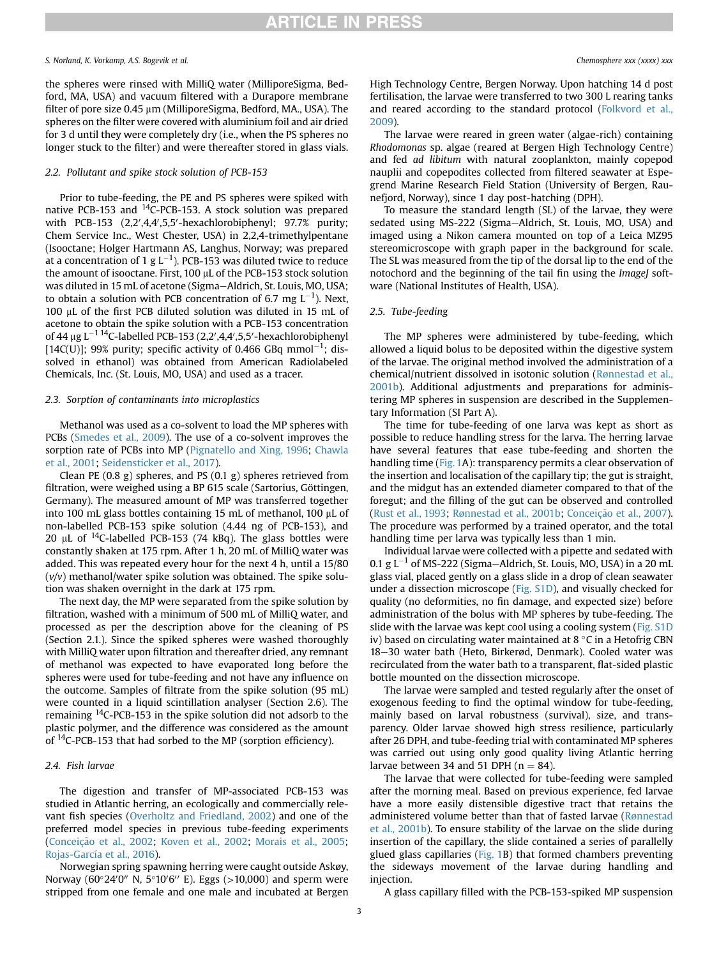the spheres were rinsed with MilliQ water (MilliporeSigma, Bedford, MA, USA) and vacuum filtered with a Durapore membrane filter of pore size 0.45 µm (MilliporeSigma, Bedford, MA., USA). The spheres on the filter were covered with aluminium foil and air dried for 3 d until they were completely dry (i.e., when the PS spheres no longer stuck to the filter) and were thereafter stored in glass vials.

#### 2.2. Pollutant and spike stock solution of PCB-153

Prior to tube-feeding, the PE and PS spheres were spiked with native PCB-153 and  ${}^{14}C$ -PCB-153. A stock solution was prepared with PCB-153 (2,2',4,4',5,5'-hexachlorobiphenyl; 97.7% purity; Chem Service Inc., West Chester, USA) in 2,2,4-trimethylpentane (Isooctane; Holger Hartmann AS, Langhus, Norway; was prepared at a concentration of 1 g L $^{-1}$ ). PCB-153 was diluted twice to reduce the amount of isooctane. First,  $100 \mu L$  of the PCB-153 stock solution was diluted in 15 mL of acetone (Sigma-Aldrich, St. Louis, MO, USA; to obtain a solution with PCB concentration of 6.7 mg  $\mathsf{L}^{-1}$ ). Next, 100 mL of the first PCB diluted solution was diluted in 15 mL of acetone to obtain the spike solution with a PCB-153 concentration of 44  $\rm \mu g \ L^{-1 \ 14}$ C-labelled PCB-153 (2,2′,4,4′,5,5′-hexachlorobiphenyl [14C(U)]; 99% purity; specific activity of 0.466 GBq mmol<sup>-1</sup>; dissolved in ethanol) was obtained from American Radiolabeled Chemicals, Inc. (St. Louis, MO, USA) and used as a tracer.

#### 2.3. Sorption of contaminants into microplastics

Methanol was used as a co-solvent to load the MP spheres with PCBs ([Smedes et al., 2009](#page-8-9)). The use of a co-solvent improves the sorption rate of PCBs into MP ([Pignatello and Xing, 1996](#page-7-25); [Chawla](#page-6-11) [et al., 2001](#page-6-11); [Seidensticker et al., 2017](#page-8-10)).

Clean PE  $(0.8 \text{ g})$  spheres, and PS  $(0.1 \text{ g})$  spheres retrieved from filtration, were weighed using a BP 615 scale (Sartorius, Göttingen, Germany). The measured amount of MP was transferred together into 100 mL glass bottles containing 15 mL of methanol, 100 µL of non-labelled PCB-153 spike solution (4.44 ng of PCB-153), and 20  $\mu$ L of <sup>14</sup>C-labelled PCB-153 (74 kBq). The glass bottles were constantly shaken at 175 rpm. After 1 h, 20 mL of MilliQ water was added. This was repeated every hour for the next 4 h, until a 15/80  $(v/v)$  methanol/water spike solution was obtained. The spike solution was shaken overnight in the dark at 175 rpm.

The next day, the MP were separated from the spike solution by filtration, washed with a minimum of 500 mL of MilliQ water, and processed as per the description above for the cleaning of PS (Section 2.1.). Since the spiked spheres were washed thoroughly with MilliQ water upon filtration and thereafter dried, any remnant of methanol was expected to have evaporated long before the spheres were used for tube-feeding and not have any influence on the outcome. Samples of filtrate from the spike solution (95 mL) were counted in a liquid scintillation analyser (Section 2.6). The remaining <sup>14</sup>C-PCB-153 in the spike solution did not adsorb to the plastic polymer, and the difference was considered as the amount of  $^{14}$ C-PCB-153 that had sorbed to the MP (sorption efficiency).

### 2.4. Fish larvae

The digestion and transfer of MP-associated PCB-153 was studied in Atlantic herring, an ecologically and commercially relevant fish species ([Overholtz and Friedland, 2002\)](#page-7-26) and one of the preferred model species in previous tube-feeding experiments (Conceição et al., 2002; [Koven et al., 2002](#page-7-21); [Morais et al., 2005;](#page-7-24) [Rojas-García et al., 2016](#page-7-22)).

Norwegian spring spawning herring were caught outside Askøy, Norway (60°24′0″ N, 5°10′6′′ E). Eggs (>10,000) and sperm were stripped from one female and one male and incubated at Bergen High Technology Centre, Bergen Norway. Upon hatching 14 d post fertilisation, the larvae were transferred to two 300 L rearing tanks and reared according to the standard protocol ([Folkvord et al.,](#page-6-13) [2009\)](#page-6-13).

The larvae were reared in green water (algae-rich) containing Rhodomonas sp. algae (reared at Bergen High Technology Centre) and fed ad libitum with natural zooplankton, mainly copepod nauplii and copepodites collected from filtered seawater at Espegrend Marine Research Field Station (University of Bergen, Raunefjord, Norway), since 1 day post-hatching (DPH).

To measure the standard length (SL) of the larvae, they were sedated using MS-222 (Sigma-Aldrich, St. Louis, MO, USA) and imaged using a Nikon camera mounted on top of a Leica MZ95 stereomicroscope with graph paper in the background for scale. The SL was measured from the tip of the dorsal lip to the end of the notochord and the beginning of the tail fin using the *ImageJ* software (National Institutes of Health, USA).

#### 2.5. Tube-feeding

The MP spheres were administered by tube-feeding, which allowed a liquid bolus to be deposited within the digestive system of the larvae. The original method involved the administration of a chemical/nutrient dissolved in isotonic solution [\(Rønnestad et al.,](#page-7-23) [2001b](#page-7-23)). Additional adjustments and preparations for administering MP spheres in suspension are described in the Supplementary Information (SI Part A).

The time for tube-feeding of one larva was kept as short as possible to reduce handling stress for the larva. The herring larvae have several features that ease tube-feeding and shorten the handling time [\(Fig. 1A](#page-3-0)): transparency permits a clear observation of the insertion and localisation of the capillary tip; the gut is straight, and the midgut has an extended diameter compared to that of the foregut; and the filling of the gut can be observed and controlled ([Rust et al., 1993;](#page-8-8) [R](#page-7-23)ø[nnestad et al., 2001b](#page-7-23); Conceição et al., 2007). The procedure was performed by a trained operator, and the total handling time per larva was typically less than 1 min.

Individual larvae were collected with a pipette and sedated with 0.1 g  $L^{-1}$  of MS-222 (Sigma-Aldrich, St. Louis, MO, USA) in a 20 mL glass vial, placed gently on a glass slide in a drop of clean seawater under a dissection microscope (Fig. S1D), and visually checked for quality (no deformities, no fin damage, and expected size) before administration of the bolus with MP spheres by tube-feeding. The slide with the larvae was kept cool using a cooling system (Fig. S1D) iv) based on circulating water maintained at  $8 °C$  in a Hetofrig CBN 18-30 water bath (Heto, Birkerød, Denmark). Cooled water was recirculated from the water bath to a transparent, flat-sided plastic bottle mounted on the dissection microscope.

The larvae were sampled and tested regularly after the onset of exogenous feeding to find the optimal window for tube-feeding, mainly based on larval robustness (survival), size, and transparency. Older larvae showed high stress resilience, particularly after 26 DPH, and tube-feeding trial with contaminated MP spheres was carried out using only good quality living Atlantic herring larvae between 34 and 51 DPH ( $n = 84$ ).

The larvae that were collected for tube-feeding were sampled after the morning meal. Based on previous experience, fed larvae have a more easily distensible digestive tract that retains the administered volume better than that of fasted larvae ([Rønnestad](#page-7-23) [et al., 2001b\)](#page-7-23). To ensure stability of the larvae on the slide during insertion of the capillary, the slide contained a series of parallelly glued glass capillaries ([Fig. 1B](#page-3-0)) that formed chambers preventing the sideways movement of the larvae during handling and injection.

A glass capillary filled with the PCB-153-spiked MP suspension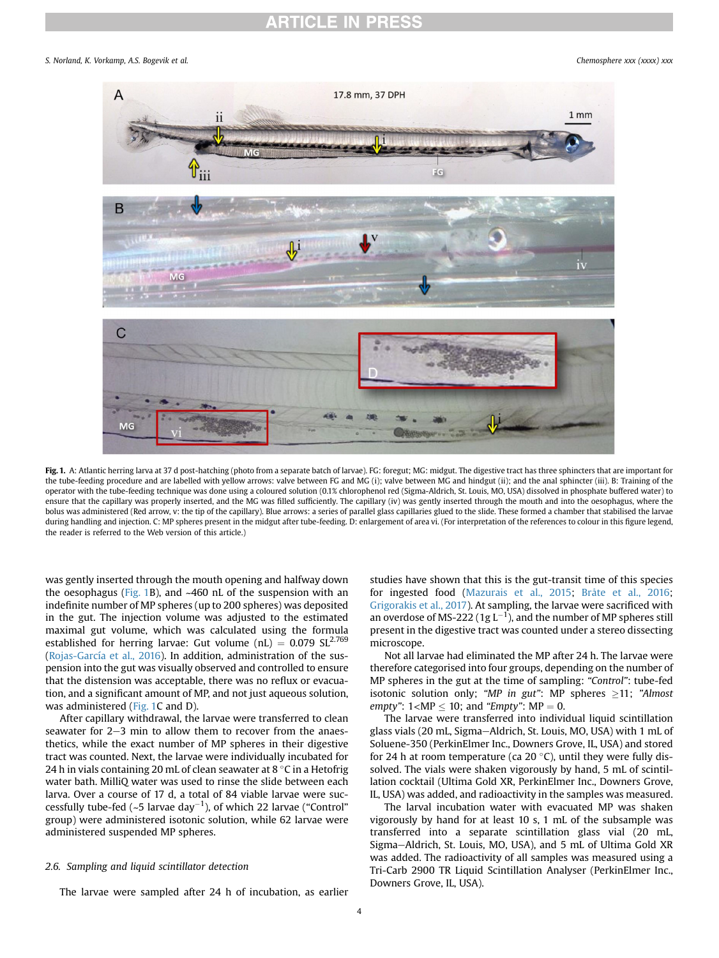### **RTICLE IN PRESS**

#### <span id="page-3-0"></span>S. Norland, K. Vorkamp, A.S. Bogevik et al. Chemosphere xxx (xxxx) xxx



Fig. 1. A: Atlantic herring larva at 37 d post-hatching (photo from a separate batch of larvae). FG: foregut; MG: midgut. The digestive tract has three sphincters that are important for the tube-feeding procedure and are labelled with yellow arrows: valve between FG and MG (i); valve between MG and hindgut (ii); and the anal sphincter (iii). B: Training of the operator with the tube-feeding technique was done using a coloured solution (0.1% chlorophenol red (Sigma-Aldrich, St. Louis, MO, USA) dissolved in phosphate buffered water) to ensure that the capillary was properly inserted, and the MG was filled sufficiently. The capillary (iv) was gently inserted through the mouth and into the oesophagus, where the bolus was administered (Red arrow, v: the tip of the capillary). Blue arrows: a series of parallel glass capillaries glued to the slide. These formed a chamber that stabilised the larvae during handling and injection. C: MP spheres present in the midgut after tube-feeding. D: enlargement of area vi. (For interpretation of the references to colour in this figure legend, the reader is referred to the Web version of this article.)

was gently inserted through the mouth opening and halfway down the oesophagus ([Fig. 1B](#page-3-0)), and  $\sim$ 460 nL of the suspension with an indefinite number of MP spheres (up to 200 spheres) was deposited in the gut. The injection volume was adjusted to the estimated maximal gut volume, which was calculated using the formula established for herring larvae: Gut volume (nL) =  $0.079$  SL<sup>2.769</sup> ([Rojas-García et al., 2016](#page-7-22)). In addition, administration of the suspension into the gut was visually observed and controlled to ensure that the distension was acceptable, there was no reflux or evacuation, and a significant amount of MP, and not just aqueous solution, was administered [\(Fig. 1C](#page-3-0) and D).

After capillary withdrawal, the larvae were transferred to clean seawater for  $2-3$  min to allow them to recover from the anaesthetics, while the exact number of MP spheres in their digestive tract was counted. Next, the larvae were individually incubated for 24 h in vials containing 20 mL of clean seawater at 8  $\degree$ C in a Hetofrig water bath. MilliQ water was used to rinse the slide between each larva. Over a course of 17 d, a total of 84 viable larvae were successfully tube-fed (~5 larvae day $^{-1}$ ), of which 22 larvae ("Control" group) were administered isotonic solution, while 62 larvae were administered suspended MP spheres.

#### 2.6. Sampling and liquid scintillator detection

The larvae were sampled after 24 h of incubation, as earlier

studies have shown that this is the gut-transit time of this species for ingested food [\(Mazurais et al., 2015](#page-7-27); [Bråte et al., 2016;](#page-6-15) [Grigorakis et al., 2017\)](#page-7-28). At sampling, the larvae were sacrificed with an overdose of MS-222 (1g  $L^{-1}$ ), and the number of MP spheres still present in the digestive tract was counted under a stereo dissecting microscope.

Not all larvae had eliminated the MP after 24 h. The larvae were therefore categorised into four groups, depending on the number of MP spheres in the gut at the time of sampling: "Control": tube-fed isotonic solution only; "MP in gut": MP spheres  $\geq$ 11; "Almost empty":  $1 < MP \leq 10$ ; and "Empty":  $MP = 0$ .

The larvae were transferred into individual liquid scintillation glass vials (20 mL, Sigma-Aldrich, St. Louis, MO, USA) with 1 mL of Soluene-350 (PerkinElmer Inc., Downers Grove, IL, USA) and stored for 24 h at room temperature (ca 20  $^{\circ}$ C), until they were fully dissolved. The vials were shaken vigorously by hand, 5 mL of scintillation cocktail (Ultima Gold XR, PerkinElmer Inc., Downers Grove, IL, USA) was added, and radioactivity in the samples was measured.

The larval incubation water with evacuated MP was shaken vigorously by hand for at least 10 s, 1 mL of the subsample was transferred into a separate scintillation glass vial (20 mL, Sigma-Aldrich, St. Louis, MO, USA), and 5 mL of Ultima Gold XR was added. The radioactivity of all samples was measured using a Tri-Carb 2900 TR Liquid Scintillation Analyser (PerkinElmer Inc., Downers Grove, IL, USA).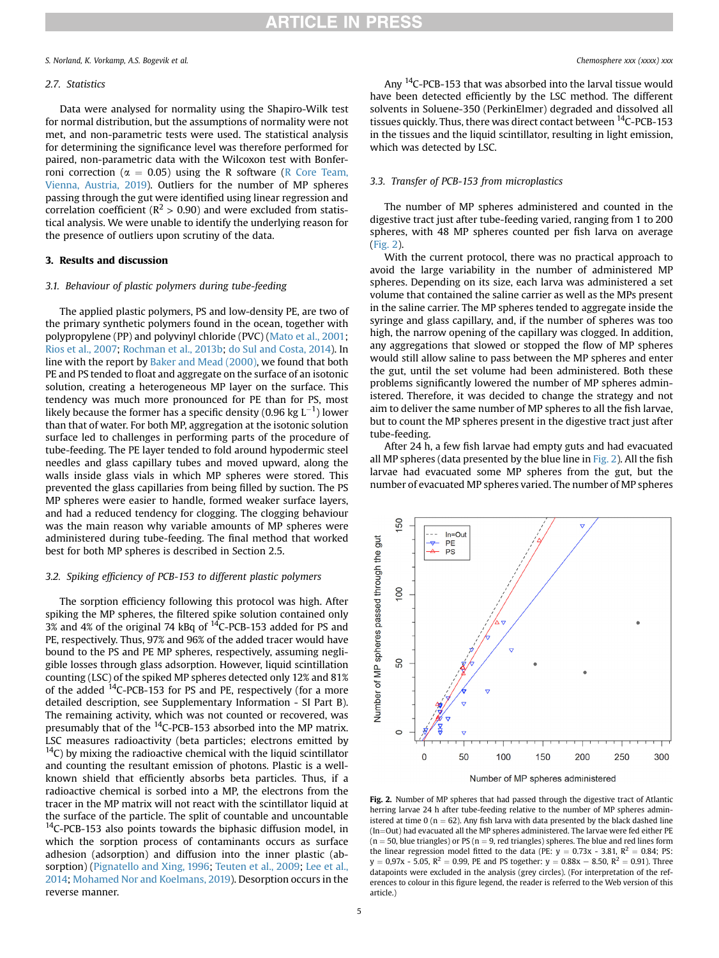#### 2.7. Statistics

Data were analysed for normality using the Shapiro-Wilk test for normal distribution, but the assumptions of normality were not met, and non-parametric tests were used. The statistical analysis for determining the significance level was therefore performed for paired, non-parametric data with the Wilcoxon test with Bonferroni correction ( $\alpha = 0.05$ ) using the R software [\(R Core Team,](#page-7-29) [Vienna, Austria, 2019\)](#page-7-29). Outliers for the number of MP spheres passing through the gut were identified using linear regression and correlation coefficient ( $R^2 > 0.90$ ) and were excluded from statistical analysis. We were unable to identify the underlying reason for the presence of outliers upon scrutiny of the data.

#### 3. Results and discussion

#### 3.1. Behaviour of plastic polymers during tube-feeding

The applied plastic polymers, PS and low-density PE, are two of the primary synthetic polymers found in the ocean, together with polypropylene (PP) and polyvinyl chloride (PVC) ([Mato et al., 2001;](#page-7-0) [Rios et al., 2007;](#page-7-30) [Rochman et al., 2013b](#page-7-31); [do Sul and Costa, 2014](#page-6-16)). In line with the report by [Baker and Mead \(2000\),](#page-6-17) we found that both PE and PS tended to float and aggregate on the surface of an isotonic solution, creating a heterogeneous MP layer on the surface. This tendency was much more pronounced for PE than for PS, most likely because the former has a specific density (0.96 kg L $^{-1}$ ) lower than that of water. For both MP, aggregation at the isotonic solution surface led to challenges in performing parts of the procedure of tube-feeding. The PE layer tended to fold around hypodermic steel needles and glass capillary tubes and moved upward, along the walls inside glass vials in which MP spheres were stored. This prevented the glass capillaries from being filled by suction. The PS MP spheres were easier to handle, formed weaker surface layers, and had a reduced tendency for clogging. The clogging behaviour was the main reason why variable amounts of MP spheres were administered during tube-feeding. The final method that worked best for both MP spheres is described in Section 2.5.

#### 3.2. Spiking efficiency of PCB-153 to different plastic polymers

The sorption efficiency following this protocol was high. After spiking the MP spheres, the filtered spike solution contained only 3% and 4% of the original 74 kBq of <sup>14</sup>C-PCB-153 added for PS and PE, respectively. Thus, 97% and 96% of the added tracer would have bound to the PS and PE MP spheres, respectively, assuming negligible losses through glass adsorption. However, liquid scintillation counting (LSC) of the spiked MP spheres detected only 12% and 81% of the added  $^{14}$ C-PCB-153 for PS and PE, respectively (for a more detailed description, see Supplementary Information - SI Part B). The remaining activity, which was not counted or recovered, was presumably that of the 14C-PCB-153 absorbed into the MP matrix. LSC measures radioactivity (beta particles; electrons emitted by  $14C$ ) by mixing the radioactive chemical with the liquid scintillator and counting the resultant emission of photons. Plastic is a wellknown shield that efficiently absorbs beta particles. Thus, if a radioactive chemical is sorbed into a MP, the electrons from the tracer in the MP matrix will not react with the scintillator liquid at the surface of the particle. The split of countable and uncountable  $14$ C-PCB-153 also points towards the biphasic diffusion model, in which the sorption process of contaminants occurs as surface adhesion (adsorption) and diffusion into the inner plastic (absorption) ([Pignatello and Xing, 1996](#page-7-25); [Teuten et al., 2009](#page-8-3); [Lee et al.,](#page-7-32) [2014;](#page-7-32) [Mohamed Nor and Koelmans, 2019\)](#page-7-15). Desorption occurs in the reverse manner.

Any 14C-PCB-153 that was absorbed into the larval tissue would have been detected efficiently by the LSC method. The different solvents in Soluene-350 (PerkinElmer) degraded and dissolved all tissues quickly. Thus, there was direct contact between <sup>14</sup>C-PCB-153 in the tissues and the liquid scintillator, resulting in light emission, which was detected by LSC.

#### 3.3. Transfer of PCB-153 from microplastics

The number of MP spheres administered and counted in the digestive tract just after tube-feeding varied, ranging from 1 to 200 spheres, with 48 MP spheres counted per fish larva on average ([Fig. 2\)](#page-4-0).

With the current protocol, there was no practical approach to avoid the large variability in the number of administered MP spheres. Depending on its size, each larva was administered a set volume that contained the saline carrier as well as the MPs present in the saline carrier. The MP spheres tended to aggregate inside the syringe and glass capillary, and, if the number of spheres was too high, the narrow opening of the capillary was clogged. In addition, any aggregations that slowed or stopped the flow of MP spheres would still allow saline to pass between the MP spheres and enter the gut, until the set volume had been administered. Both these problems significantly lowered the number of MP spheres administered. Therefore, it was decided to change the strategy and not aim to deliver the same number of MP spheres to all the fish larvae, but to count the MP spheres present in the digestive tract just after tube-feeding.

After 24 h, a few fish larvae had empty guts and had evacuated all MP spheres (data presented by the blue line in  $Fig. 2$ ). All the fish larvae had evacuated some MP spheres from the gut, but the number of evacuated MP spheres varied. The number of MP spheres

<span id="page-4-0"></span>

Number of MP spheres administered

Fig. 2. Number of MP spheres that had passed through the digestive tract of Atlantic herring larvae 24 h after tube-feeding relative to the number of MP spheres administered at time 0 ( $n = 62$ ). Any fish larva with data presented by the black dashed line (In=Out) had evacuated all the MP spheres administered. The larvae were fed either PE (n = 50, blue triangles) or PS (n = 9, red triangles) spheres. The blue and red lines form the linear regression model fitted to the data (PE:  $y = 0.73x - 3.81$ ,  $R^2 = 0.84$ ; PS:  $y = 0.97x - 5.05$ ,  $R^2 = 0.99$ , PE and PS together:  $y = 0.88x - 8.50$ ,  $R^2 = 0.91$ ). Three datapoints were excluded in the analysis (grey circles). (For interpretation of the references to colour in this figure legend, the reader is referred to the Web version of this article.)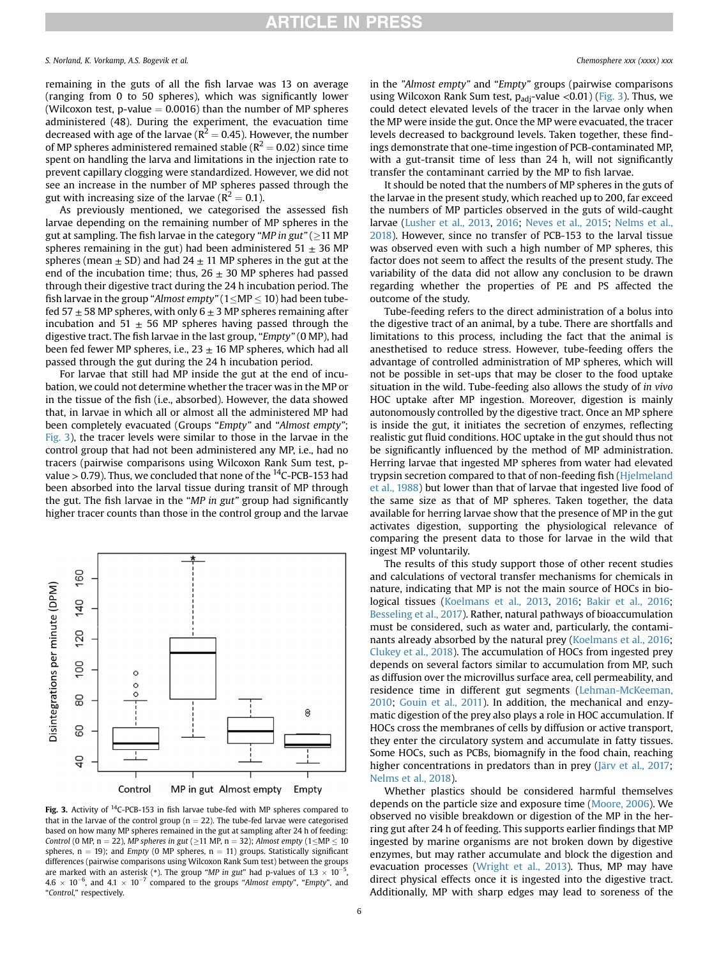remaining in the guts of all the fish larvae was 13 on average (ranging from 0 to 50 spheres), which was significantly lower (Wilcoxon test, p-value  $= 0.0016$ ) than the number of MP spheres administered (48). During the experiment, the evacuation time decreased with age of the larvae ( $R^2 = 0.45$ ). However, the number of MP spheres administered remained stable ( $R^2 = 0.02$ ) since time spent on handling the larva and limitations in the injection rate to prevent capillary clogging were standardized. However, we did not see an increase in the number of MP spheres passed through the gut with increasing size of the larvae ( $R^2 = 0.1$ ).

As previously mentioned, we categorised the assessed fish larvae depending on the remaining number of MP spheres in the gut at sampling. The fish larvae in the category "MP in gut" ( $\geq$ 11 MP spheres remaining in the gut) had been administered  $51 \pm 36$  MP spheres (mean  $\pm$  SD) and had 24  $\pm$  11 MP spheres in the gut at the end of the incubation time; thus,  $26 \pm 30$  MP spheres had passed through their digestive tract during the 24 h incubation period. The fish larvae in the group "Almost empty" ( $1 \le MP \le 10$ ) had been tubefed 57  $\pm$  58 MP spheres, with only 6  $\pm$  3 MP spheres remaining after incubation and 51  $\pm$  56 MP spheres having passed through the digestive tract. The fish larvae in the last group, "Empty" (0 MP), had been fed fewer MP spheres, i.e.,  $23 \pm 16$  MP spheres, which had all passed through the gut during the 24 h incubation period.

For larvae that still had MP inside the gut at the end of incubation, we could not determine whether the tracer was in the MP or in the tissue of the fish (i.e., absorbed). However, the data showed that, in larvae in which all or almost all the administered MP had been completely evacuated (Groups "Empty" and "Almost empty"; [Fig. 3](#page-5-0)), the tracer levels were similar to those in the larvae in the control group that had not been administered any MP, i.e., had no tracers (pairwise comparisons using Wilcoxon Rank Sum test, pvalue  $> 0.79$ ). Thus, we concluded that none of the  $^{14}$ C-PCB-153 had been absorbed into the larval tissue during transit of MP through the gut. The fish larvae in the "MP in gut" group had significantly higher tracer counts than those in the control group and the larvae

<span id="page-5-0"></span>

Fig. 3. Activity of <sup>14</sup>C-PCB-153 in fish larvae tube-fed with MP spheres compared to that in the larvae of the control group ( $n = 22$ ). The tube-fed larvae were categorised based on how many MP spheres remained in the gut at sampling after 24 h of feeding: Control (0 MP, n = 22), MP spheres in gut ( $\geq$ 11 MP, n = 32); Almost empty (1 $\leq$ MP  $\leq$  10 spheres,  $n = 19$ ); and *Empty* (0 MP spheres,  $n = 11$ ) groups. Statistically significant differences (pairwise comparisons using Wilcoxon Rank Sum test) between the groups are marked with an asterisk (\*). The group "MP in gut" had p-values of  $1.3 \times 10^{-5}$ ,  $4.6 \times 10^{-6}$ , and  $4.1 \times 10^{-7}$  compared to the groups "Almost empty", "Empty", and "Control," respectively.

in the "Almost empty" and "Empty" groups (pairwise comparisons using Wilcoxon Rank Sum test, p<sub>adj</sub>-value <0.01) [\(Fig. 3](#page-5-0)). Thus, we could detect elevated levels of the tracer in the larvae only when the MP were inside the gut. Once the MP were evacuated, the tracer levels decreased to background levels. Taken together, these findings demonstrate that one-time ingestion of PCB-contaminated MP, with a gut-transit time of less than 24 h, will not significantly transfer the contaminant carried by the MP to fish larvae.

It should be noted that the numbers of MP spheres in the guts of the larvae in the present study, which reached up to 200, far exceed the numbers of MP particles observed in the guts of wild-caught larvae ([Lusher et al., 2013](#page-7-33), [2016;](#page-7-34) [Neves et al., 2015;](#page-7-35) [Nelms et al.,](#page-7-5) [2018\)](#page-7-5). However, since no transfer of PCB-153 to the larval tissue was observed even with such a high number of MP spheres, this factor does not seem to affect the results of the present study. The variability of the data did not allow any conclusion to be drawn regarding whether the properties of PE and PS affected the outcome of the study.

Tube-feeding refers to the direct administration of a bolus into the digestive tract of an animal, by a tube. There are shortfalls and limitations to this process, including the fact that the animal is anesthetised to reduce stress. However, tube-feeding offers the advantage of controlled administration of MP spheres, which will not be possible in set-ups that may be closer to the food uptake situation in the wild. Tube-feeding also allows the study of in vivo HOC uptake after MP ingestion. Moreover, digestion is mainly autonomously controlled by the digestive tract. Once an MP sphere is inside the gut, it initiates the secretion of enzymes, reflecting realistic gut fluid conditions. HOC uptake in the gut should thus not be significantly influenced by the method of MP administration. Herring larvae that ingested MP spheres from water had elevated trypsin secretion compared to that of non-feeding fish ([Hjelmeland](#page-7-13) [et al., 1988\)](#page-7-13) but lower than that of larvae that ingested live food of the same size as that of MP spheres. Taken together, the data available for herring larvae show that the presence of MP in the gut activates digestion, supporting the physiological relevance of comparing the present data to those for larvae in the wild that ingest MP voluntarily.

The results of this study support those of other recent studies and calculations of vectoral transfer mechanisms for chemicals in nature, indicating that MP is not the main source of HOCs in biological tissues [\(Koelmans et al., 2013,](#page-7-36) [2016](#page-7-3); [Bakir et al., 2016;](#page-6-5) [Besseling et al., 2017](#page-6-4)). Rather, natural pathways of bioaccumulation must be considered, such as water and, particularly, the contaminants already absorbed by the natural prey ([Koelmans et al., 2016;](#page-7-3) [Clukey et al., 2018](#page-6-6)). The accumulation of HOCs from ingested prey depends on several factors similar to accumulation from MP, such as diffusion over the microvillus surface area, cell permeability, and residence time in different gut segments [\(Lehman-McKeeman,](#page-7-37) [2010;](#page-7-37) [Gouin et al., 2011](#page-7-14)). In addition, the mechanical and enzymatic digestion of the prey also plays a role in HOC accumulation. If HOCs cross the membranes of cells by diffusion or active transport, they enter the circulatory system and accumulate in fatty tissues. Some HOCs, such as PCBs, biomagnify in the food chain, reaching higher concentrations in predators than in prey (Järv et al., 2017; [Nelms et al., 2018\)](#page-7-5).

Whether plastics should be considered harmful themselves depends on the particle size and exposure time [\(Moore, 2006\)](#page-7-38). We observed no visible breakdown or digestion of the MP in the herring gut after 24 h of feeding. This supports earlier findings that MP ingested by marine organisms are not broken down by digestive enzymes, but may rather accumulate and block the digestion and evacuation processes ([Wright et al., 2013\)](#page-8-11). Thus, MP may have direct physical effects once it is ingested into the digestive tract. Additionally, MP with sharp edges may lead to soreness of the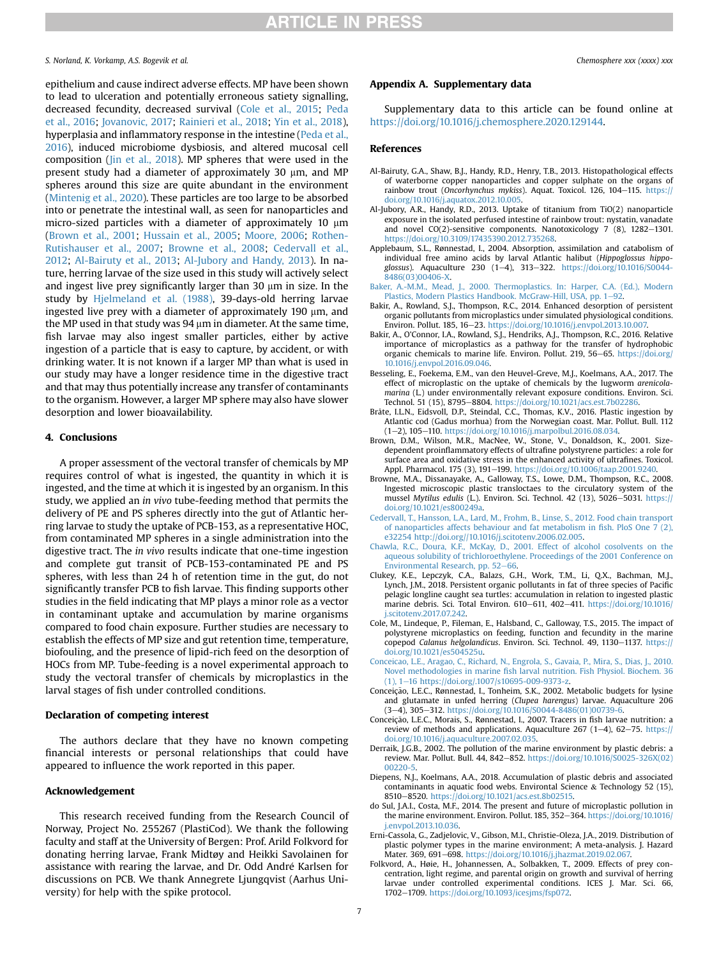epithelium and cause indirect adverse effects. MP have been shown to lead to ulceration and potentially erroneous satiety signalling, decreased fecundity, decreased survival [\(Cole et al., 2015;](#page-6-1) [Peda](#page-7-39) [et al., 2016;](#page-7-39) [Jovanovic, 2017;](#page-7-40) [Rainieri et al., 2018;](#page-7-41) [Yin et al., 2018\)](#page-8-12), hyperplasia and inflammatory response in the intestine [\(Peda et al.,](#page-7-39) [2016\)](#page-7-39), induced microbiome dysbiosis, and altered mucosal cell composition ([Jin et al., 2018\)](#page-7-42). MP spheres that were used in the present study had a diameter of approximately 30  $\mu$ m, and MP spheres around this size are quite abundant in the environment ([Mintenig et al., 2020](#page-7-43)). These particles are too large to be absorbed into or penetrate the intestinal wall, as seen for nanoparticles and micro-sized particles with a diameter of approximately  $10 \mu m$ ([Brown et al., 2001;](#page-6-18) [Hussain et al., 2005](#page-7-44); [Moore, 2006](#page-7-38); [Rothen-](#page-7-45)[Rutishauser et al., 2007](#page-7-45); [Browne et al., 2008](#page-6-0); [Cedervall et al.,](#page-6-19) [2012;](#page-6-19) [Al-Bairuty et al., 2013](#page-6-20); [Al-Jubory and Handy, 2013\)](#page-6-21). In nature, herring larvae of the size used in this study will actively select and ingest live prey significantly larger than  $30 \mu m$  in size. In the study by [Hjelmeland et al. \(1988\)](#page-7-13), 39-days-old herring larvae ingested live prey with a diameter of approximately 190  $\mu$ m, and the MP used in that study was  $94 \mu m$  in diameter. At the same time, fish larvae may also ingest smaller particles, either by active ingestion of a particle that is easy to capture, by accident, or with drinking water. It is not known if a larger MP than what is used in our study may have a longer residence time in the digestive tract and that may thus potentially increase any transfer of contaminants to the organism. However, a larger MP sphere may also have slower desorption and lower bioavailability.

#### 4. Conclusions

A proper assessment of the vectoral transfer of chemicals by MP requires control of what is ingested, the quantity in which it is ingested, and the time at which it is ingested by an organism. In this study, we applied an in vivo tube-feeding method that permits the delivery of PE and PS spheres directly into the gut of Atlantic herring larvae to study the uptake of PCB-153, as a representative HOC, from contaminated MP spheres in a single administration into the digestive tract. The in vivo results indicate that one-time ingestion and complete gut transit of PCB-153-contaminated PE and PS spheres, with less than 24 h of retention time in the gut, do not significantly transfer PCB to fish larvae. This finding supports other studies in the field indicating that MP plays a minor role as a vector in contaminant uptake and accumulation by marine organisms compared to food chain exposure. Further studies are necessary to establish the effects of MP size and gut retention time, temperature, biofouling, and the presence of lipid-rich feed on the desorption of HOCs from MP. Tube-feeding is a novel experimental approach to study the vectoral transfer of chemicals by microplastics in the larval stages of fish under controlled conditions.

#### Declaration of competing interest

The authors declare that they have no known competing financial interests or personal relationships that could have appeared to influence the work reported in this paper.

#### Acknowledgement

This research received funding from the Research Council of Norway, Project No. 255267 (PlastiCod). We thank the following faculty and staff at the University of Bergen: Prof. Arild Folkvord for donating herring larvae, Frank Midtøy and Heikki Savolainen for assistance with rearing the larvae, and Dr. Odd André Karlsen for discussions on PCB. We thank Annegrete Ljungqvist (Aarhus University) for help with the spike protocol.

#### Appendix A. Supplementary data

Supplementary data to this article can be found online at [https://doi.org/10.1016/j.chemosphere.2020.129144.](https://doi.org/10.1016/j.chemosphere.2020.129144)

#### References

- <span id="page-6-20"></span>Al-Bairuty, G.A., Shaw, B.J., Handy, R.D., Henry, T.B., 2013. Histopathological effects of waterborne copper nanoparticles and copper sulphate on the organs of rainbow trout (Oncorhynchus mykiss). Aquat. Toxicol. 126, 104-115. [https://](https://doi.org/10.1016/j.aquatox.2012.10.005) [doi.org/10.1016/j.aquatox.2012.10.005.](https://doi.org/10.1016/j.aquatox.2012.10.005)
- <span id="page-6-21"></span>Al-Jubory, A.R., Handy, R.D., 2013. Uptake of titanium from TiO(2) nanoparticle exposure in the isolated perfused intestine of rainbow trout: nystatin, vanadate and novel CO(2)-sensitive components. Nanotoxicology  $7(8)$ , 1282-1301. <https://doi.org/10.3109/17435390.2012.735268>.
- <span id="page-6-9"></span>Applebaum, S.L., Rønnestad, I., 2004. Absorption, assimilation and catabolism of individual free amino acids by larval Atlantic halibut (Hippoglossus hippoglossus). Aquaculture 230 (1-4), 313-322. [https://doi.org/10.1016/S0044-](https://doi.org/10.1016/S0044-8486(03)00406-X) [8486\(03\)00406-X.](https://doi.org/10.1016/S0044-8486(03)00406-X)
- <span id="page-6-17"></span>[Baker, A.-M.M., Mead, J., 2000. Thermoplastics. In: Harper, C.A. \(Ed.\), Modern](http://refhub.elsevier.com/S0045-6535(20)33341-5/sref4) [Plastics, Modern Plastics Handbook. McGraw-Hill, USA, pp. 1](http://refhub.elsevier.com/S0045-6535(20)33341-5/sref4)-[92.](http://refhub.elsevier.com/S0045-6535(20)33341-5/sref4)
- <span id="page-6-3"></span>Bakir, A., Rowland, S.J., Thompson, R.C., 2014. Enhanced desorption of persistent organic pollutants from microplastics under simulated physiological conditions. Environ. Pollut. 185, 16-23. [https://doi.org/10.1016/j.envpol.2013.10.007.](https://doi.org/10.1016/j.envpol.2013.10.007)
- <span id="page-6-5"></span>Bakir, A., O'Connor, I.A., Rowland, S.J., Hendriks, A.J., Thompson, R.C., 2016. Relative importance of microplastics as a pathway for the transfer of hydrophobic organic chemicals to marine life. Environ. Pollut. 219, 56-65. [https://doi.org/](https://doi.org/10.1016/j.envpol.2016.09.046) [10.1016/j.envpol.2016.09.046](https://doi.org/10.1016/j.envpol.2016.09.046).
- <span id="page-6-4"></span>Besseling, E., Foekema, E.M., van den Heuvel-Greve, M.J., Koelmans, A.A., 2017. The effect of microplastic on the uptake of chemicals by the lugworm arenicolamarina (L.) under environmentally relevant exposure conditions. Environ. Sci. Technol. 51 (15), 8795-8804. [https://doi.org/10.1021/acs.est.7b02286.](https://doi.org/10.1021/acs.est.7b02286)
- <span id="page-6-15"></span>Bråte, I.L.N., Eidsvoll, D.P., Steindal, C.C., Thomas, K.V., 2016. Plastic ingestion by Atlantic cod (Gadus morhua) from the Norwegian coast. Mar. Pollut. Bull. 112 (1-2), 105-110. <https://doi.org/10.1016/j.marpolbul.2016.08.034>.
- <span id="page-6-18"></span>Brown, D.M., Wilson, M.R., MacNee, W., Stone, V., Donaldson, K., 2001. Sizedependent proinflammatory effects of ultrafine polystyrene particles: a role for surface area and oxidative stress in the enhanced activity of ultrafines. Toxicol. Appl. Pharmacol. 175 (3), 191-199. [https://doi.org/10.1006/taap.2001.9240.](https://doi.org/10.1006/taap.2001.9240)
- <span id="page-6-0"></span>Browne, M.A., Dissanayake, A., Galloway, T.S., Lowe, D.M., Thompson, R.C., 2008. Ingested microscopic plastic transloctaes to the circulatory system of the mussel Mytilus edulis (L.). Environ. Sci. Technol. 42 (13), 5026-5031. [https://](https://doi.org/10.1021/es800249a) [doi.org/10.1021/es800249a.](https://doi.org/10.1021/es800249a)
- <span id="page-6-19"></span>[Cedervall, T., Hansson, L.A., Lard, M., Frohm, B., Linse, S., 2012. Food chain transport](http://refhub.elsevier.com/S0045-6535(20)33341-5/sref11) [of nanoparticles affects behaviour and fat metabolism in](http://refhub.elsevier.com/S0045-6535(20)33341-5/sref11) fish. PloS One 7 (2), [e32254 http://doi.org//10.1016/j.scitotenv.2006.02.005.](http://refhub.elsevier.com/S0045-6535(20)33341-5/sref11)
- <span id="page-6-11"></span>[Chawla, R.C., Doura, K.F., McKay, D., 2001. Effect of alcohol cosolvents on the](http://refhub.elsevier.com/S0045-6535(20)33341-5/sref12) [aqueous solubility of trichloroethylene. Proceedings of the 2001 Conference on](http://refhub.elsevier.com/S0045-6535(20)33341-5/sref12) [Environmental Research, pp. 52](http://refhub.elsevier.com/S0045-6535(20)33341-5/sref12)-[66.](http://refhub.elsevier.com/S0045-6535(20)33341-5/sref12)
- <span id="page-6-6"></span>Clukey, K.E., Lepczyk, C.A., Balazs, G.H., Work, T.M., Li, Q.X., Bachman, M.J., Lynch, J.M., 2018. Persistent organic pollutants in fat of three species of Pacific pelagic longline caught sea turtles: accumulation in relation to ingested plastic marine debris. Sci. Total Environ. 610-611, 402-411. [https://doi.org/10.1016/](https://doi.org/10.1016/j.scitotenv.2017.07.242) i.scitotenv.2017.07.242.
- <span id="page-6-1"></span>Cole, M., Lindeque, P., Fileman, E., Halsband, C., Galloway, T.S., 2015. The impact of polystyrene microplastics on feeding, function and fecundity in the marine copepod Calanus helgolandicus. Environ. Sci. Technol. 49, 1130-1137. [https://](https://doi.org/10.1021/es504525u) [doi.org/10.1021/es504525u](https://doi.org/10.1021/es504525u).
- <span id="page-6-8"></span>[Conceicao, L.E., Aragao, C., Richard, N., Engrola, S., Gavaia, P., Mira, S., Dias, J., 2010.](http://refhub.elsevier.com/S0045-6535(20)33341-5/sref15) Novel methodologies in marine fi[sh larval nutrition. Fish Physiol. Biochem. 36](http://refhub.elsevier.com/S0045-6535(20)33341-5/sref15) [\(1\), 1](http://refhub.elsevier.com/S0045-6535(20)33341-5/sref15)-[16 https://doi.org/.1007/s10695-009-9373-z](http://refhub.elsevier.com/S0045-6535(20)33341-5/sref15).
- <span id="page-6-12"></span>Conceição, L.E.C., Rønnestad, I., Tonheim, S.K., 2002. Metabolic budgets for lysine and glutamate in unfed herring (Clupea harengus) larvae. Aquaculture 206 (3-4), 305-312. [https://doi.org/10.1016/S0044-8486\(01\)00739-6.](https://doi.org/10.1016/S0044-8486(01)00739-6)
- <span id="page-6-14"></span>Conceição, L.E.C., Morais, S., Rønnestad, I., 2007. Tracers in fish larvae nutrition: a review of methods and applications. Aquaculture 267 (1-4), 62-75. [https://](https://doi.org/10.1016/j.aquaculture.2007.02.035) [doi.org/10.1016/j.aquaculture.2007.02.035](https://doi.org/10.1016/j.aquaculture.2007.02.035).
- <span id="page-6-2"></span>Derraik, J.G.B., 2002. The pollution of the marine environment by plastic debris: a review. Mar. Pollut. Bull. 44, 842-852. [https://doi.org/10.1016/S0025-326X\(02\)](https://doi.org/10.1016/S0025-326X(02)00220-5) [00220-5](https://doi.org/10.1016/S0025-326X(02)00220-5).
- <span id="page-6-7"></span>Diepens, N.J., Koelmans, A.A., 2018. Accumulation of plastic debris and associated contaminants in aquatic food webs. Environtal Science & Technology 52 (15), 8510-8520. [https://doi.org/10.1021/acs.est.8b02515.](https://doi.org/10.1021/acs.est.8b02515)
- <span id="page-6-16"></span>do Sul, J.A.I., Costa, M.F., 2014. The present and future of microplastic pollution in the marine environment. Environ. Pollut. 185, 352-364. [https://doi.org/10.1016/](https://doi.org/10.1016/j.envpol.2013.10.036) [j.envpol.2013.10.036.](https://doi.org/10.1016/j.envpol.2013.10.036)
- <span id="page-6-10"></span>Erni-Cassola, G., Zadjelovic, V., Gibson, M.I., Christie-Oleza, J.A., 2019. Distribution of plastic polymer types in the marine environment; A meta-analysis. J. Hazard Mater. 369, 691-698. [https://doi.org/10.1016/j.jhazmat.2019.02.067.](https://doi.org/10.1016/j.jhazmat.2019.02.067)
- <span id="page-6-13"></span>Folkvord, A., Høie, H., Johannessen, A., Solbakken, T., 2009. Effects of prey concentration, light regime, and parental origin on growth and survival of herring larvae under controlled experimental conditions. ICES J. Mar. Sci. 66, 1702-1709. [https://doi.org/10.1093/icesjms/fsp072.](https://doi.org/10.1093/icesjms/fsp072)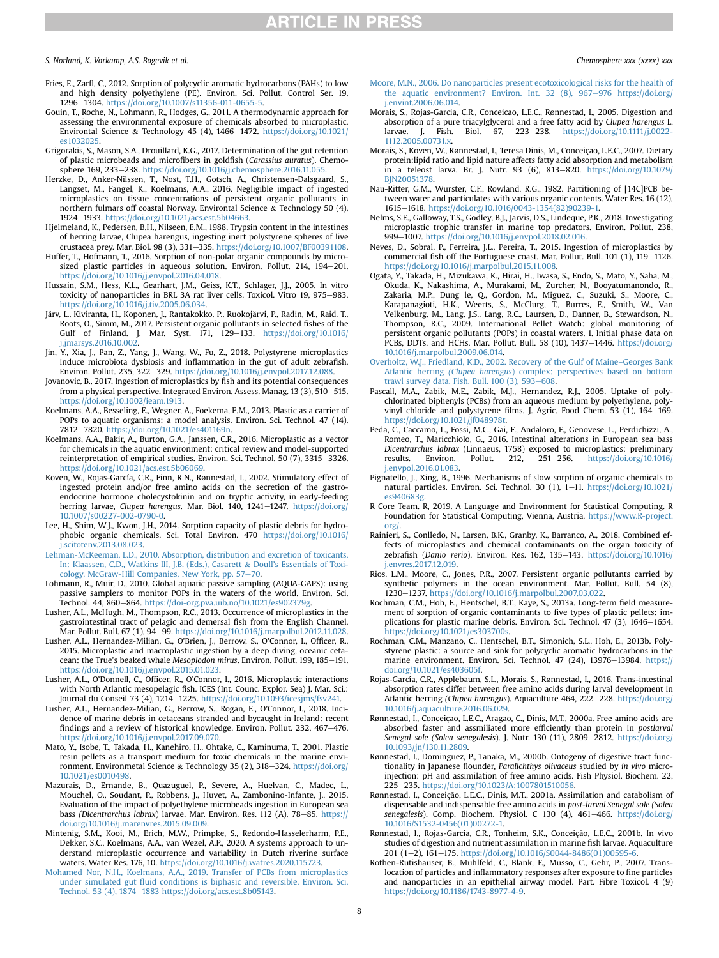### **ARTICLE IN PRESS**

S. Norland, K. Vorkamp, A.S. Bogevik et al. Chemosphere xxx (xxxx) xxx

- <span id="page-7-9"></span>Fries, E., Zarfl, C., 2012. Sorption of polycyclic aromatic hydrocarbons (PAHs) to low and high density polyethylene (PE). Environ. Sci. Pollut. Control Ser. 19, 1296-1304. <https://doi.org/10.1007/s11356-011-0655-5>.
- <span id="page-7-14"></span>Gouin, T., Roche, N., Lohmann, R., Hodges, G., 2011. A thermodynamic approach for assessing the environmental exposure of chemicals absorbed to microplastic. Environtal Science & Technology 45 (4), 1466-1472. [https://doi.org/10.1021/](https://doi.org/10.1021/es1032025) [es1032025](https://doi.org/10.1021/es1032025).
- <span id="page-7-28"></span>Grigorakis, S., Mason, S.A., Drouillard, K.G., 2017. Determination of the gut retention of plastic microbeads and microfibers in goldfish (Carassius auratus). Chemosphere 169, 233-238. <https://doi.org/10.1016/j.chemosphere.2016.11.055>.
- <span id="page-7-16"></span>Herzke, D., Anker-Nilssen, T., Nost, T.H., Gotsch, A., Christensen-Dalsgaard, S., Langset, M., Fangel, K., Koelmans, A.A., 2016. Negligible impact of ingested microplastics on tissue concentrations of persistent organic pollutants in northern fulmars off coastal Norway. Environtal Science & Technology 50 (4), 1924-1933. <https://doi.org/10.1021/acs.est.5b04663>.
- <span id="page-7-13"></span>Hjelmeland, K., Pedersen, B.H., Nilseen, E.M., 1988. Trypsin content in the intestines of herring larvae, Clupea harengus, ingesting inert polystyrene spheres of live crustacea prey. Mar. Biol. 98 (3), 331e335. <https://doi.org/10.1007/BF00391108>.
- <span id="page-7-10"></span>Huffer, T., Hofmann, T., 2016. Sorption of non-polar organic compounds by microsized plastic particles in aqueous solution. Environ. Pollut. 214, 194-201. [https://doi.org/10.1016/j.envpol.2016.04.018.](https://doi.org/10.1016/j.envpol.2016.04.018)
- <span id="page-7-44"></span>Hussain, S.M., Hess, K.L., Gearhart, J.M., Geiss, K.T., Schlager, J.J., 2005. In vitro toxicity of nanoparticles in BRL 3A rat liver cells. Toxicol. Vitro 19, 975-983. <https://doi.org/10.1016/j.tiv.2005.06.034>.
- <span id="page-7-4"></span>Järv, L., Kiviranta, H., Koponen, J., Rantakokko, P., Ruokojärvi, P., Radin, M., Raid, T., Roots, O., Simm, M., 2017. Persistent organic pollutants in selected fishes of the Gulf of Finland. J. Mar. Syst. 171, 129-133. [https://doi.org/10.1016/](https://doi.org/10.1016/j.jmarsys.2016.10.002) [j.jmarsys.2016.10.002.](https://doi.org/10.1016/j.jmarsys.2016.10.002)
- <span id="page-7-42"></span>Jin, Y., Xia, J., Pan, Z., Yang, J., Wang, W., Fu, Z., 2018. Polystyrene microplastics induce microbiota dysbiosis and inflammation in the gut of adult zebrafish. Environ. Pollut. 235, 322-329. https://doi.org/10.1016/j.envpol.2017.12.088
- <span id="page-7-40"></span>Jovanovic, B., 2017. Ingestion of microplastics by fish and its potential consequences from a physical perspective. Integrated Environ. Assess. Manag. 13 (3), 510-515. [https://doi.org/10.1002/ieam.1913.](https://doi.org/10.1002/ieam.1913)
- <span id="page-7-36"></span>Koelmans, A.A., Besseling, E., Wegner, A., Foekema, E.M., 2013. Plastic as a carrier of POPs to aquatic organisms: a model analysis. Environ. Sci. Technol. 47 (14), 7812-7820. [https://doi.org/10.1021/es401169n.](https://doi.org/10.1021/es401169n)
- <span id="page-7-3"></span>Koelmans, A.A., Bakir, A., Burton, G.A., Janssen, C.R., 2016. Microplastic as a vector for chemicals in the aquatic environment: critical review and model-supported reinterpretation of empirical studies. Environ. Sci. Technol. 50 (7), 3315-3326. <https://doi.org/10.1021/acs.est.5b06069>.
- <span id="page-7-21"></span>Koven, W., Rojas-García, C.R., Finn, R.N., Rønnestad, I., 2002. Stimulatory effect of ingested protein and/or free amino acids on the secretion of the gastroendocrine hormone cholecystokinin and on tryptic activity, in early-feeding herring larvae, Clupea harengus. Mar. Biol. 140, 1241-1247. [https://doi.org/](https://doi.org/10.1007/s00227-002-0790-0) [10.1007/s00227-002-0790-0](https://doi.org/10.1007/s00227-002-0790-0).
- <span id="page-7-32"></span>Lee, H., Shim, W.J., Kwon, J.H., 2014. Sorption capacity of plastic debris for hydrophobic organic chemicals. Sci. Total Environ. 470 [https://doi.org/10.1016/](https://doi.org/10.1016/j.scitotenv.2013.08.023) [j.scitotenv.2013.08.023](https://doi.org/10.1016/j.scitotenv.2013.08.023).
- <span id="page-7-37"></span>[Lehman-McKeeman, L.D., 2010. Absorption, distribution and excretion of toxicants.](http://refhub.elsevier.com/S0045-6535(20)33341-5/sref37) [In: Klaassen, C.D., Watkins III, J.B. \(Eds.\), Casarett](http://refhub.elsevier.com/S0045-6535(20)33341-5/sref37) & Doull'[s Essentials of Toxi](http://refhub.elsevier.com/S0045-6535(20)33341-5/sref37)[cology. McGraw-Hill Companies, New York, pp. 57](http://refhub.elsevier.com/S0045-6535(20)33341-5/sref37)-[70.](http://refhub.elsevier.com/S0045-6535(20)33341-5/sref37)
- <span id="page-7-6"></span>Lohmann, R., Muir, D., 2010. Global aquatic passive sampling (AQUA-GAPS): using passive samplers to monitor POPs in the waters of the world. Environ. Sci. Technol. 44, 860–864. <https://doi-org.pva.uib.no/10.1021/es902379g>.
- <span id="page-7-33"></span>Lusher, A.L., McHugh, M., Thompson, R.C., 2013. Occurrence of microplastics in the gastrointestinal tract of pelagic and demersal fish from the English Channel. Mar. Pollut. Bull. 67 (1), 94-99. <https://doi.org/10.1016/j.marpolbul.2012.11.028>.
- <span id="page-7-11"></span>Lusher, A.L., Hernandez-Milian, G., O'Brien, J., Berrow, S., O'Connor, I., Officer, R., 2015. Microplastic and macroplastic ingestion by a deep diving, oceanic cetacean: the True's beaked whale Mesoplodon mirus. Environ. Pollut. 199, 185-191. [https://doi.org/10.1016/j.envpol.2015.01.023.](https://doi.org/10.1016/j.envpol.2015.01.023)
- <span id="page-7-34"></span>Lusher, A.L., O'Donnell, C., Officer, R., O'Connor, I., 2016. Microplastic interactions with North Atlantic mesopelagic fish. ICES (Int. Counc. Explor. Sea) J. Mar. Sci.: Journal du Conseil 73 (4), 1214-1225. [https://doi.org/10.1093/icesjms/fsv241.](https://doi.org/10.1093/icesjms/fsv241)
- <span id="page-7-12"></span>Lusher, A.L., Hernandez-Milian, G., Berrow, S., Rogan, E., O'Connor, I., 2018. Incidence of marine debris in cetaceans stranded and bycaught in Ireland: recent findings and a review of historical knowledge. Environ. Pollut. 232, 467-476. <https://doi.org/10.1016/j.envpol.2017.09.070>.
- <span id="page-7-0"></span>Mato, Y., Isobe, T., Takada, H., Kanehiro, H., Ohtake, C., Kaminuma, T., 2001. Plastic resin pellets as a transport medium for toxic chemicals in the marine environment. Environmetal Science & Technology 35 (2), 318-324. [https://doi.org/](https://doi.org/10.1021/es0010498) [10.1021/es0010498](https://doi.org/10.1021/es0010498).
- <span id="page-7-27"></span>Mazurais, D., Ernande, B., Quazuguel, P., Severe, A., Huelvan, C., Madec, L., Mouchel, O., Soudant, P., Robbens, J., Huvet, A., Zambonino-Infante, J., 2015. Evaluation of the impact of polyethylene microbeads ingestion in European sea bass (Dicentrarchus labrax) larvae. Mar. Environ. Res. 112 (A), 78-85. [https://](https://doi.org/10.1016/j.marenvres.2015.09.009) [doi.org/10.1016/j.marenvres.2015.09.009](https://doi.org/10.1016/j.marenvres.2015.09.009).
- <span id="page-7-43"></span>Mintenig, S.M., Kooi, M., Erich, M.W., Primpke, S., Redondo-Hasselerharm, P.E., Dekker, S.C., Koelmans, A.A., van Wezel, A.P., 2020. A systems approach to understand microplastic occurrence and variability in Dutch riverine surface waters. Water Res. 176, 10. [https://doi.org/10.1016/j.watres.2020.115723.](https://doi.org/10.1016/j.watres.2020.115723)
- <span id="page-7-15"></span>[Mohamed Nor, N.H., Koelmans, A.A., 2019. Transfer of PCBs from microplastics](http://refhub.elsevier.com/S0045-6535(20)33341-5/sref46) under simulated gut fl[uid conditions is biphasic and reversible. Environ. Sci.](http://refhub.elsevier.com/S0045-6535(20)33341-5/sref46) [Technol. 53 \(4\), 1874](http://refhub.elsevier.com/S0045-6535(20)33341-5/sref46)-[1883 https://doi.org/acs.est.8b05143](http://refhub.elsevier.com/S0045-6535(20)33341-5/sref46).
- <span id="page-7-38"></span>[Moore, M.N., 2006. Do nanoparticles present ecotoxicological risks for the health of](http://refhub.elsevier.com/S0045-6535(20)33341-5/sref47) [the aquatic environment? Environ. Int. 32 \(8\), 967](http://refhub.elsevier.com/S0045-6535(20)33341-5/sref47)-[976 https://doi.org/](http://refhub.elsevier.com/S0045-6535(20)33341-5/sref47) [j.envint.2006.06.014.](http://refhub.elsevier.com/S0045-6535(20)33341-5/sref47)
- <span id="page-7-24"></span>Morais, S., Rojas-Garcia, C.R., Conceicao, L.E.C., Rønnestad, I., 2005. Digestion and absorption of a pure triacylglycerol and a free fatty acid by Clupea harengus L.<br>
larvae.  $\parallel$  Fish. Biol. 67, 223–238. https://doi.org/10.1111/j.0022[https://doi.org/10.1111/j.0022-](https://doi.org/10.1111/j.0022-1112.2005.00731.x) [1112.2005.00731.x.](https://doi.org/10.1111/j.0022-1112.2005.00731.x)
- <span id="page-7-20"></span>Morais, S., Koven, W., Rønnestad, I., Teresa Dinis, M., Conceiçao, L.E.C., 2007. Dietary ~ protein:lipid ratio and lipid nature affects fatty acid absorption and metabolism  $\overline{\text{in}}$  a teleost larva. Br. J. Nutr. 93 (6), 813–820. [https://doi.org/10.1079/](https://doi.org/10.1079/BJN20051378) [BJN20051378.](https://doi.org/10.1079/BJN20051378)
- <span id="page-7-7"></span>Nau-Ritter, G.M., Wurster, C.F., Rowland, R.G., 1982. Partitioning of [14C]PCB between water and particulates with various organic contents. Water Res. 16 (12), 1615e1618. [https://doi.org/10.1016/0043-1354\(82\)90239-1.](https://doi.org/10.1016/0043-1354(82)90239-1)
- <span id="page-7-5"></span>Nelms, S.E., Galloway, T.S., Godley, B.J., Jarvis, D.S., Lindeque, P.K., 2018. Investigating microplastic trophic transfer in marine top predators. Environ. Pollut. 238, 999-1007. [https://doi.org/10.1016/j.envpol.2018.02.016.](https://doi.org/10.1016/j.envpol.2018.02.016)
- <span id="page-7-35"></span>Neves, D., Sobral, P., Ferreira, J.L., Pereira, T., 2015. Ingestion of microplastics by commercial fish off the Portuguese coast. Mar. Pollut. Bull. 101 (1), 119-1126. [https://doi.org/10.1016/j.marpolbul.2015.11.008.](https://doi.org/10.1016/j.marpolbul.2015.11.008)
- <span id="page-7-1"></span>Ogata, Y., Takada, H., Mizukawa, K., Hirai, H., Iwasa, S., Endo, S., Mato, Y., Saha, M., Okuda, K., Nakashima, A., Murakami, M., Zurcher, N., Booyatumanondo, R., Zakaria, M.P., Dung le, Q., Gordon, M., Miguez, C., Suzuki, S., Moore, C., Karapanagioti, H.K., Weerts, S., McClurg, T., Burres, E., Smith, W., Van Velkenburg, M., Lang, J.S., Lang, R.C., Laursen, D., Danner, B., Stewardson, N., Thompson, R.C., 2009. International Pellet Watch: global monitoring of persistent organic pollutants (POPs) in coastal waters. 1. Initial phase data on PCBs, DDTs, and HCHs. Mar. Pollut. Bull. 58 (10), 1437-1446. [https://doi.org/](https://doi.org/10.1016/j.marpolbul.2009.06.014) [10.1016/j.marpolbul.2009.06.014.](https://doi.org/10.1016/j.marpolbul.2009.06.014)
- <span id="page-7-26"></span>[Overholtz, W.J., Friedland, K.D., 2002. Recovery of the Gulf of Maine](http://refhub.elsevier.com/S0045-6535(20)33341-5/sref54)–Georges Bank Atlantic herring (Clupea harengus[\) complex: perspectives based on bottom](http://refhub.elsevier.com/S0045-6535(20)33341-5/sref54) trawl survey data. Fish. Bull.  $100$  (3),  $593-608$  $593-608$ .
- <span id="page-7-8"></span>Pascall, M.A., Zabik, M.E., Zabik, M.J., Hernandez, R.J., 2005. Uptake of polychlorinated biphenyls (PCBs) from an aqueous medium by polyethylene, polyvinyl chloride and polystyrene films. J. Agric. Food Chem. 53 (1), 164-169. [https://doi.org/10.1021/jf048978t.](https://doi.org/10.1021/jf048978t)
- <span id="page-7-39"></span>Peda, C., Caccamo, L., Fossi, M.C., Gai, F., Andaloro, F., Genovese, L., Perdichizzi, A., Romeo, T., Maricchiolo, G., 2016. Intestinal alterations in European sea bass Dicentrarchus labrax (Linnaeus, 1758) exposed to microplastics: preliminary results. Environ. Pollut. 212, 251-256. [https://doi.org/10.1016/](https://doi.org/10.1016/j.envpol.2016.01.083) [j.envpol.2016.01.083](https://doi.org/10.1016/j.envpol.2016.01.083).
- <span id="page-7-25"></span>Pignatello, J., Xing, B., 1996. Mechanisms of slow sorption of organic chemicals to natural particles. Environ. Sci. Technol. 30 (1), 1-11. [https://doi.org/10.1021/](https://doi.org/10.1021/es940683g) [es940683g](https://doi.org/10.1021/es940683g).
- <span id="page-7-29"></span>R Core Team. R, 2019. A Language and Environment for Statistical Computing. R Foundation for Statistical Computing, Vienna, Austria. [https://www.R-project.](https://www.R-project.org/) [org/.](https://www.R-project.org/)
- <span id="page-7-41"></span>Rainieri, S., Conlledo, N., Larsen, B.K., Granby, K., Barranco, A., 2018. Combined effects of microplastics and chemical contaminants on the organ toxicity of zebrafish (Danio rerio). Environ. Res. 162, 135-143. [https://doi.org/10.1016/](https://doi.org/10.1016/j.envres.2017.12.019) [j.envres.2017.12.019.](https://doi.org/10.1016/j.envres.2017.12.019)
- <span id="page-7-30"></span>Rios, L.M., Moore, C., Jones, P.R., 2007. Persistent organic pollutants carried by synthetic polymers in the ocean environment. Mar. Pollut. Bull. 54 (8), 1230-1237. [https://doi.org/10.1016/j.marpolbul.2007.03.022.](https://doi.org/10.1016/j.marpolbul.2007.03.022)
- <span id="page-7-2"></span>Rochman, C.M., Hoh, E., Hentschel, B.T., Kaye, S., 2013a. Long-term field measurement of sorption of organic contaminants to five types of plastic pellets: implications for plastic marine debris. Environ. Sci. Technol. 47 (3), 1646-1654. <https://doi.org/10.1021/es303700s>.
- <span id="page-7-31"></span>Rochman, C.M., Manzano, C., Hentschel, B.T., Simonich, S.L., Hoh, E., 2013b. Polystyrene plastic: a source and sink for polycyclic aromatic hydrocarbons in the marine environment. Environ. Sci. Technol. 47 (24), 13976-13984. [https://](https://doi.org/10.1021/es403605f) [doi.org/10.1021/es403605f](https://doi.org/10.1021/es403605f).
- <span id="page-7-22"></span>Rojas-García, C.R., Applebaum, S.L., Morais, S., Rønnestad, I., 2016. Trans-intestinal absorption rates differ between free amino acids during larval development in Atlantic herring (Clupea harengus). Aquaculture 464, 222-228. [https://doi.org/](https://doi.org/10.1016/j.aquaculture.2016.06.029) [10.1016/j.aquaculture.2016.06.029.](https://doi.org/10.1016/j.aquaculture.2016.06.029)
- <span id="page-7-18"></span>Rønnestad, I., Conceição, L.E.C., Aragão, C., Dinis, M.T., 2000a. Free amino acids are absorbed faster and assmiliated more efficiently than protein in postlarval Senegal sole (Solea senegalesis). J. Nutr. 130 (11), 2809-2812. [https://doi.org/](https://doi.org/10.1093/jn/130.11.2809) [10.1093/jn/130.11.2809](https://doi.org/10.1093/jn/130.11.2809).
- <span id="page-7-17"></span>Rønnestad, I., Dominguez, P., Tanaka, M., 2000b. Ontogeny of digestive tract functionality in Japanese flounder, Paralichthys olivaceus studied by in vivo microinjection: pH and assimilation of free amino acids. Fish Physiol. Biochem. 22, 225-235. https://doi.org/10.1023/A:1007801510056
- <span id="page-7-19"></span>Rønnestad, I., Conceiçao, L.E.C., Dinis, M.T., 2001a. Assimilation and catabolism of ~ dispensable and indispensable free amino acids in post-larval Senegal sole (Solea senegalesis). Comp. Biochem. Physiol. C 130 (4), 461-466. [https://doi.org/](https://doi.org/10.1016/S1532-0456(01)00272-1) [10.1016/S1532-0456\(01\)00272-1.](https://doi.org/10.1016/S1532-0456(01)00272-1)
- <span id="page-7-23"></span>Rønnestad, I., Rojas-García, C.R., Tonheim, S.K., Conceição, L.E.C., 2001b. In vivo studies of digestion and nutrient assimilation in marine fish larvae. Aquaculture 201 (1-2), 161-175. [https://doi.org/10.1016/S0044-8486\(01\)00595-6](https://doi.org/10.1016/S0044-8486(01)00595-6)
- <span id="page-7-45"></span>Rothen-Rutishauser, B., Muhlfeld, C., Blank, F., Musso, C., Gehr, P., 2007. Translocation of particles and inflammatory responses after exposure to fine particles and nanoparticles in an epithelial airway model. Part. Fibre Toxicol. 4 (9) [https://doi.org/10.1186/1743-8977-4-9.](https://doi.org/10.1186/1743-8977-4-9)